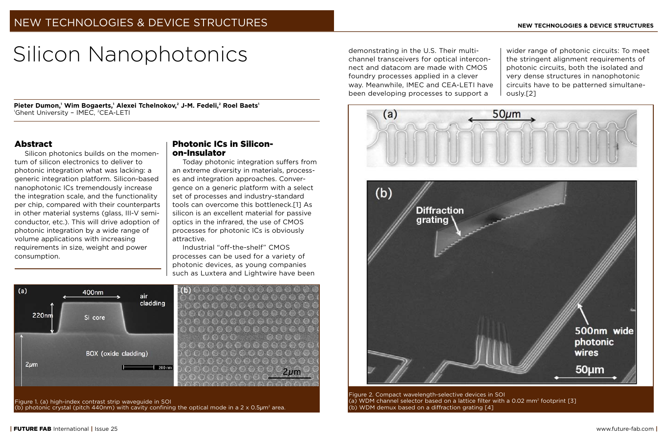# Silicon Nanophotonics demonstrating in the U.S. Their multi-

**Pieter Dumon,1 Wim Bogaerts,1 Alexei Tchelnokov,2 J-M. Fedeli,2 Roel Baets1** <sup>1</sup>Ghent University - IMEC, <sup>2</sup>CEA-LETI

## Abstract

Silicon photonics builds on the momentum of silicon electronics to deliver to photonic integration what was lacking: a generic integration platform. Silicon-based nanophotonic ICs tremendously increase the integration scale, and the functionality per chip, compared with their counterparts in other material systems (glass, III-V semiconductor, etc.). This will drive adoption of photonic integration by a wide range of volume applications with increasing requirements in size, weight and power consumption.

# Photonic ICs in Siliconon-Insulator

Today photonic integration suffers from an extreme diversity in materials, processes and integration approaches. Convergence on a generic platform with a select set of processes and industry-standard tools can overcome this bottleneck.[1] As silicon is an excellent material for passive optics in the infrared, the use of CMOS processes for photonic ICs is obviously attractive.

Industrial "off-the-shelf" CMOS processes can be used for a variety of photonic devices, as young companies such as Luxtera and Lightwire have been



 $2 \mu m$ 

Figure 1. (a) high-index contrast strip waveguide in SOI (b) photonic crystal (pitch 440nm) with cavity confining the optical mode in a  $2 \times 0.5 \mu m^2$  area.

channel transceivers for optical interconnect and datacom are made with CMOS foundry processes applied in a clever way. Meanwhile, IMEC and CEA-LETI have been developing processes to support a

wider range of photonic circuits: To meet the stringent alignment requirements of photonic circuits, both the isolated and very dense structures in nanophotonic circuits have to be patterned simultaneously.[2]



Figure 2. Compact wavelength-selective devices in SOI (a) WDM channel selector based on a lattice filter with a 0.02 mm<sup>2</sup> footprint  $[3]$ (b) WDM demux based on a diffraction grating [4]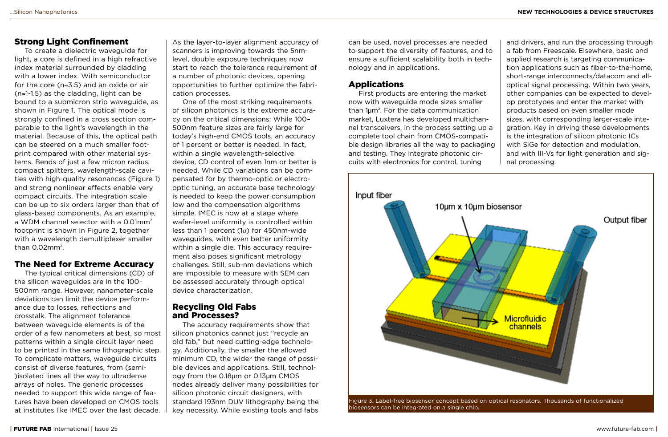## Strong Light Confinement

To create a dielectric waveguide for light, a core is defined in a high refractive index material surrounded by cladding with a lower index. With semiconductor for the core (n≈3.5) and an oxide or air (n≈1-1.5) as the cladding, light can be bound to a submicron strip waveguide, as shown in Figure 1. The optical mode is strongly confined in a cross section comparable to the light's wavelength in the material. Because of this, the optical path can be steered on a much smaller footprint compared with other material systems. Bends of just a few micron radius, compact splitters, wavelength-scale cavities with high-quality resonances (Figure 1) and strong nonlinear effects enable very compact circuits. The integration scale can be up to six orders larger than that of glass-based components. As an example, a WDM channel selector with a 0.01mm<sup>2</sup> footprint is shown in Figure 2, together with a wavelength demultiplexer smaller than  $0.02$ mm<sup>2</sup>.

# The Need for Extreme Accuracy

The typical critical dimensions (CD) of the silicon waveguides are in the 100– 500nm range. However, nanometer-scale deviations can limit the device performance due to losses, reflections and crosstalk. The alignment tolerance between waveguide elements is of the order of a few nanometers at best, so most patterns within a single circuit layer need to be printed in the same lithographic step. To complicate matters, waveguide circuits consist of diverse features, from (semi- )isolated lines all the way to ultradense arrays of holes. The generic processes needed to support this wide range of features have been developed on CMOS tools at institutes like IMEC over the last decade.

As the layer-to-layer alignment accuracy of scanners is improving towards the 5nmlevel, double exposure techniques now start to reach the tolerance requirement of a number of photonic devices, opening opportunities to further optimize the fabrication processes.

One of the most striking requirements of silicon photonics is the extreme accuracy on the critical dimensions: While 100– 500nm feature sizes are fairly large for today's high-end CMOS tools, an accuracy of 1 percent or better is needed. In fact, within a single wavelength-selective device, CD control of even 1nm or better is needed. While CD variations can be compensated for by thermo-optic or electrooptic tuning, an accurate base technology is needed to keep the power consumption low and the compensation algorithms simple. IMEC is now at a stage where wafer-level uniformity is controlled within less than 1 percent (1σ) for 450nm-wide waveguides, with even better uniformity within a single die. This accuracy requirement also poses significant metrology challenges. Still, sub-nm deviations which are impossible to measure with SEM can be assessed accurately through optical device characterization.

## Recycling Old Fabs and Processes?

The accuracy requirements show that silicon photonics cannot just "recycle an old fab," but need cutting-edge technology. Additionally, the smaller the allowed minimum CD, the wider the range of possible devices and applications. Still, technology from the 0.18µm or 0.13µm CMOS nodes already deliver many possibilities for silicon photonic circuit designers, with standard 193nm DUV lithography being the key necessity. While existing tools and fabs

can be used, novel processes are needed to support the diversity of features, and to ensure a sufficient scalability both in technology and in applications.

## Applications

First products are entering the market now with waveguide mode sizes smaller than 1µm<sup>2</sup>. For the data communication market, Luxtera has developed multichannel transceivers, in the process setting up a complete tool chain from CMOS-compatible design libraries all the way to packaging and testing. They integrate photonic circuits with electronics for control, tuning

and drivers, and run the processing through a fab from Freescale. Elsewhere, basic and applied research is targeting communication applications such as fiber-to-the-home, short-range interconnects/datacom and alloptical signal processing. Within two years, other companies can be expected to develop prototypes and enter the market with products based on even smaller mode sizes, with corresponding larger-scale integration. Key in driving these developments is the integration of silicon photonic ICs with SiGe for detection and modulation, and with III-Vs for light generation and signal processing.



Figure 3. Label-free biosensor concept based on optical resonators. Thousands of functionalized biosensors can be integrated on a single chip.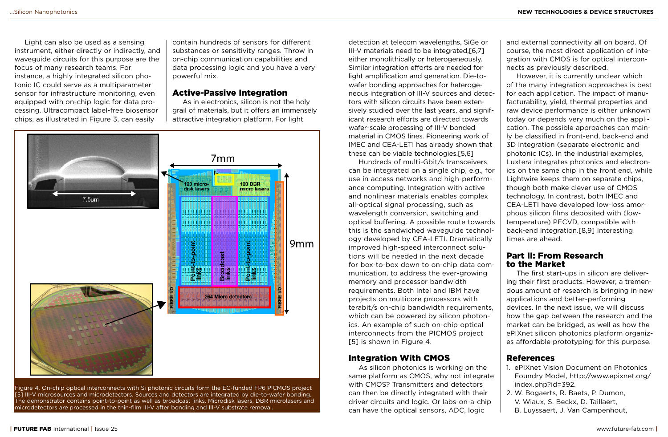Light can also be used as a sensing instrument, either directly or indirectly, and waveguide circuits for this purpose are the focus of many research teams. For instance, a highly integrated silicon photonic IC could serve as a multiparameter sensor for infrastructure monitoring, even equipped with on-chip logic for data processing. Ultracompact label-free biosensor chips, as illustrated in Figure 3, can easily

contain hundreds of sensors for different substances or sensitivity ranges. Throw in on-chip communication capabilities and data processing logic and you have a very powerful mix.

#### Active-Passive Integration

As in electronics, silicon is not the holy grail of materials, but it offers an immensely attractive integration platform. For light



Figure 4. On-chip optical interconnects with Si photonic circuits form the EC-funded FP6 PICMOS project [5] III-V microsources and microdetectors. Sources and detectors are integrated by die-to-wafer bonding. The demonstrator contains point-to-point as well as broadcast links. Microdisk lasers, DBR microlasers and microdetectors are processed in the thin-film III-V after bonding and III-V substrate removal.

detection at telecom wavelengths, SiGe or III-V materials need to be integrated,[6,7] either monolithically or heterogeneously. Similar integration efforts are needed for light amplification and generation. Die-towafer bonding approaches for heterogeneous integration of III-V sources and detectors with silicon circuits have been extensively studied over the last years, and significant research efforts are directed towards wafer-scale processing of III-V bonded material in CMOS lines. Pioneering work of IMEC and CEA-LETI has already shown that these can be viable technologies.[5,6]

Hundreds of multi-Gbit/s transceivers can be integrated on a single chip, e.g., for use in access networks and high-performance computing. Integration with active and nonlinear materials enables complex all-optical signal processing, such as wavelength conversion, switching and optical buffering. A possible route towards this is the sandwiched waveguide technology developed by CEA-LETI. Dramatically improved high-speed interconnect solutions will be needed in the next decade for box-to-box down to on-chip data communication, to address the ever-growing memory and processor bandwidth requirements. Both Intel and IBM have projects on multicore processors with terabit/s on-chip bandwidth requirements, which can be powered by silicon photonics. An example of such on-chip optical interconnects from the PICMOS project [5] is shown in Figure 4.

### Integration With CMOS

As silicon photonics is working on the same platform as CMOS, why not integrate with CMOS? Transmitters and detectors can then be directly integrated with their driver circuits and logic. Or labs-on-a-chip can have the optical sensors, ADC, logic

and external connectivity all on board. Of course, the most direct application of integration with CMOS is for optical interconnects as previously described.

However, it is currently unclear which of the many integration approaches is best for each application. The impact of manufacturability, yield, thermal properties and raw device performance is either unknown today or depends very much on the application. The possible approaches can mainly be classified in front-end, back-end and 3D integration (separate electronic and photonic ICs). In the industrial examples, Luxtera integrates photonics and electronics on the same chip in the front end, while Lightwire keeps them on separate chips, though both make clever use of CMOS technology. In contrast, both IMEC and CEA-LETI have developed low-loss amorphous silicon films deposited with (lowtemperature) PECVD, compatible with back-end integration.[8,9] Interesting times are ahead.

## Part II: From Research to the Market

The first start-ups in silicon are delivering their first products. However, a tremendous amount of research is bringing in new applications and better-performing devices. In the next issue, we will discuss how the gap between the research and the market can be bridged, as well as how the ePIXnet silicon photonics platform organizes affordable prototyping for this purpose.

### References

- 1. ePIXnet Vision Document on Photonics Foundry Model, http://www.epixnet.org/ index.php?id=392.
- 2. W. Bogaerts, R. Baets, P. Dumon, V. Wiaux, S. Beckx, D. Taillaert,
- B. Luyssaert, J. Van Campenhout,